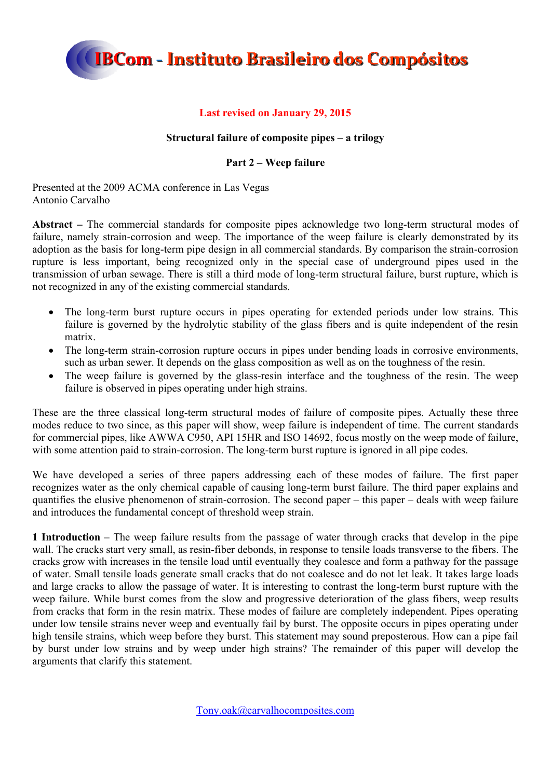

### **Last revised on January 29, 2015**

### **Structural failure of composite pipes – a trilogy**

### **Part 2 – Weep failure**

Presented at the 2009 ACMA conference in Las Vegas Antonio Carvalho

**Abstract –** The commercial standards for composite pipes acknowledge two long-term structural modes of failure, namely strain-corrosion and weep. The importance of the weep failure is clearly demonstrated by its adoption as the basis for long-term pipe design in all commercial standards. By comparison the strain-corrosion rupture is less important, being recognized only in the special case of underground pipes used in the transmission of urban sewage. There is still a third mode of long-term structural failure, burst rupture, which is not recognized in any of the existing commercial standards.

- The long-term burst rupture occurs in pipes operating for extended periods under low strains. This failure is governed by the hydrolytic stability of the glass fibers and is quite independent of the resin matrix.
- The long-term strain-corrosion rupture occurs in pipes under bending loads in corrosive environments, such as urban sewer. It depends on the glass composition as well as on the toughness of the resin.
- The weep failure is governed by the glass-resin interface and the toughness of the resin. The weep failure is observed in pipes operating under high strains.

These are the three classical long-term structural modes of failure of composite pipes. Actually these three modes reduce to two since, as this paper will show, weep failure is independent of time. The current standards for commercial pipes, like AWWA C950, API 15HR and ISO 14692, focus mostly on the weep mode of failure, with some attention paid to strain-corrosion. The long-term burst rupture is ignored in all pipe codes.

We have developed a series of three papers addressing each of these modes of failure. The first paper recognizes water as the only chemical capable of causing long-term burst failure. The third paper explains and quantifies the elusive phenomenon of strain-corrosion. The second paper – this paper – deals with weep failure and introduces the fundamental concept of threshold weep strain.

**1 Introduction –** The weep failure results from the passage of water through cracks that develop in the pipe wall. The cracks start very small, as resin-fiber debonds, in response to tensile loads transverse to the fibers. The cracks grow with increases in the tensile load until eventually they coalesce and form a pathway for the passage of water. Small tensile loads generate small cracks that do not coalesce and do not let leak. It takes large loads and large cracks to allow the passage of water. It is interesting to contrast the long-term burst rupture with the weep failure. While burst comes from the slow and progressive deterioration of the glass fibers, weep results from cracks that form in the resin matrix. These modes of failure are completely independent. Pipes operating under low tensile strains never weep and eventually fail by burst. The opposite occurs in pipes operating under high tensile strains, which weep before they burst. This statement may sound preposterous. How can a pipe fail by burst under low strains and by weep under high strains? The remainder of this paper will develop the arguments that clarify this statement.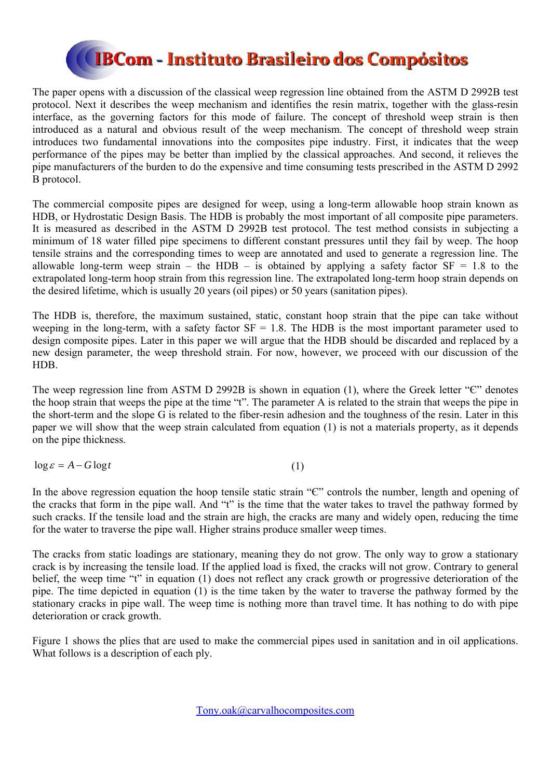

The paper opens with a discussion of the classical weep regression line obtained from the ASTM D 2992B test protocol. Next it describes the weep mechanism and identifies the resin matrix, together with the glass-resin interface, as the governing factors for this mode of failure. The concept of threshold weep strain is then introduced as a natural and obvious result of the weep mechanism. The concept of threshold weep strain introduces two fundamental innovations into the composites pipe industry. First, it indicates that the weep performance of the pipes may be better than implied by the classical approaches. And second, it relieves the pipe manufacturers of the burden to do the expensive and time consuming tests prescribed in the ASTM D 2992 B protocol.

The commercial composite pipes are designed for weep, using a long-term allowable hoop strain known as HDB, or Hydrostatic Design Basis. The HDB is probably the most important of all composite pipe parameters. It is measured as described in the ASTM D 2992B test protocol. The test method consists in subjecting a minimum of 18 water filled pipe specimens to different constant pressures until they fail by weep. The hoop tensile strains and the corresponding times to weep are annotated and used to generate a regression line. The allowable long-term weep strain – the HDB – is obtained by applying a safety factor  $SF = 1.8$  to the extrapolated long-term hoop strain from this regression line. The extrapolated long-term hoop strain depends on the desired lifetime, which is usually 20 years (oil pipes) or 50 years (sanitation pipes).

The HDB is, therefore, the maximum sustained, static, constant hoop strain that the pipe can take without weeping in the long-term, with a safety factor  $SF = 1.8$ . The HDB is the most important parameter used to design composite pipes. Later in this paper we will argue that the HDB should be discarded and replaced by a new design parameter, the weep threshold strain. For now, however, we proceed with our discussion of the HDB.

The weep regression line from ASTM D 2992B is shown in equation (1), where the Greek letter "C" denotes the hoop strain that weeps the pipe at the time "t". The parameter A is related to the strain that weeps the pipe in the short-term and the slope G is related to the fiber-resin adhesion and the toughness of the resin. Later in this paper we will show that the weep strain calculated from equation (1) is not a materials property, as it depends on the pipe thickness.

| $\log \varepsilon = A - G \log t$<br>(1) |  |  |
|------------------------------------------|--|--|
|------------------------------------------|--|--|

In the above regression equation the hoop tensile static strain " $C$ " controls the number, length and opening of the cracks that form in the pipe wall. And "t" is the time that the water takes to travel the pathway formed by such cracks. If the tensile load and the strain are high, the cracks are many and widely open, reducing the time for the water to traverse the pipe wall. Higher strains produce smaller weep times.

The cracks from static loadings are stationary, meaning they do not grow. The only way to grow a stationary crack is by increasing the tensile load. If the applied load is fixed, the cracks will not grow. Contrary to general belief, the weep time "t" in equation (1) does not reflect any crack growth or progressive deterioration of the pipe. The time depicted in equation (1) is the time taken by the water to traverse the pathway formed by the stationary cracks in pipe wall. The weep time is nothing more than travel time. It has nothing to do with pipe deterioration or crack growth.

Figure 1 shows the plies that are used to make the commercial pipes used in sanitation and in oil applications. What follows is a description of each ply.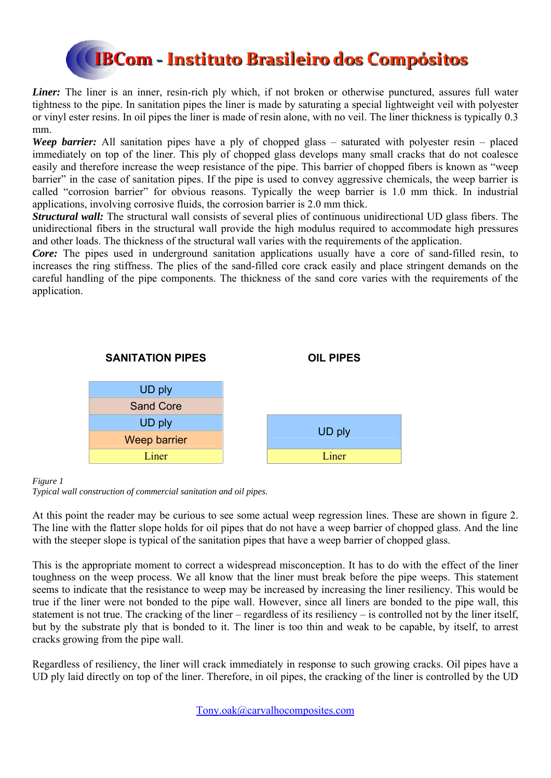

*Liner*: The liner is an inner, resin-rich ply which, if not broken or otherwise punctured, assures full water tightness to the pipe. In sanitation pipes the liner is made by saturating a special lightweight veil with polyester or vinyl ester resins. In oil pipes the liner is made of resin alone, with no veil. The liner thickness is typically 0.3 mm.

*Weep barrier:* All sanitation pipes have a ply of chopped glass – saturated with polyester resin – placed immediately on top of the liner. This ply of chopped glass develops many small cracks that do not coalesce easily and therefore increase the weep resistance of the pipe. This barrier of chopped fibers is known as "weep barrier" in the case of sanitation pipes. If the pipe is used to convey aggressive chemicals, the weep barrier is called "corrosion barrier" for obvious reasons. Typically the weep barrier is 1.0 mm thick. In industrial applications, involving corrosive fluids, the corrosion barrier is 2.0 mm thick.

*Structural wall:* The structural wall consists of several plies of continuous unidirectional UD glass fibers. The unidirectional fibers in the structural wall provide the high modulus required to accommodate high pressures and other loads. The thickness of the structural wall varies with the requirements of the application.

*Core:* The pipes used in underground sanitation applications usually have a core of sand-filled resin, to increases the ring stiffness. The plies of the sand-filled core crack easily and place stringent demands on the careful handling of the pipe components. The thickness of the sand core varies with the requirements of the application.



### *Figure 1*

*Typical wall construction of commercial sanitation and oil pipes.* 

At this point the reader may be curious to see some actual weep regression lines. These are shown in figure 2. The line with the flatter slope holds for oil pipes that do not have a weep barrier of chopped glass. And the line with the steeper slope is typical of the sanitation pipes that have a weep barrier of chopped glass.

This is the appropriate moment to correct a widespread misconception. It has to do with the effect of the liner toughness on the weep process. We all know that the liner must break before the pipe weeps. This statement seems to indicate that the resistance to weep may be increased by increasing the liner resiliency. This would be true if the liner were not bonded to the pipe wall. However, since all liners are bonded to the pipe wall, this statement is not true. The cracking of the liner – regardless of its resiliency – is controlled not by the liner itself, but by the substrate ply that is bonded to it. The liner is too thin and weak to be capable, by itself, to arrest cracks growing from the pipe wall.

Regardless of resiliency, the liner will crack immediately in response to such growing cracks. Oil pipes have a UD ply laid directly on top of the liner. Therefore, in oil pipes, the cracking of the liner is controlled by the UD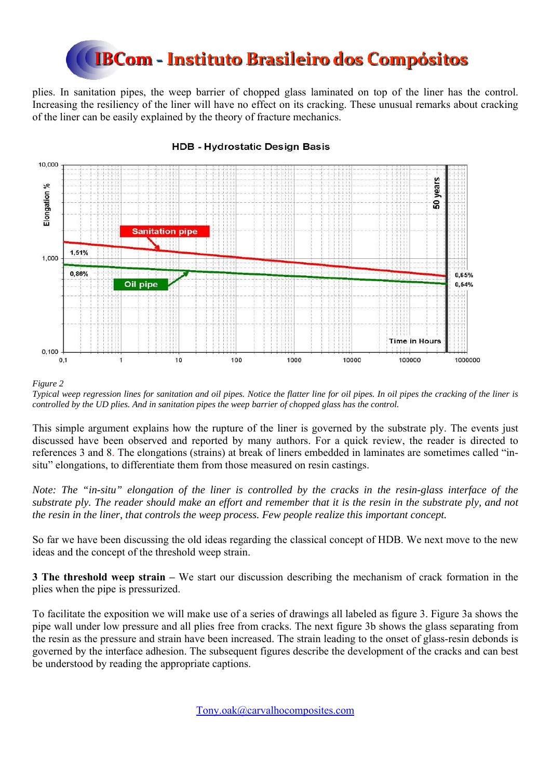

plies. In sanitation pipes, the weep barrier of chopped glass laminated on top of the liner has the control. Increasing the resiliency of the liner will have no effect on its cracking. These unusual remarks about cracking of the liner can be easily explained by the theory of fracture mechanics.



### **HDB - Hydrostatic Design Basis**

### *Figure 2*

*Typical weep regression lines for sanitation and oil pipes. Notice the flatter line for oil pipes. In oil pipes the cracking of the liner is controlled by the UD plies. And in sanitation pipes the weep barrier of chopped glass has the control.*

This simple argument explains how the rupture of the liner is governed by the substrate ply. The events just discussed have been observed and reported by many authors. For a quick review, the reader is directed to references 3 and 8. The elongations (strains) at break of liners embedded in laminates are sometimes called "insitu" elongations, to differentiate them from those measured on resin castings.

*Note: The "in-situ" elongation of the liner is controlled by the cracks in the resin-glass interface of the substrate ply. The reader should make an effort and remember that it is the resin in the substrate ply, and not the resin in the liner, that controls the weep process. Few people realize this important concept.* 

So far we have been discussing the old ideas regarding the classical concept of HDB. We next move to the new ideas and the concept of the threshold weep strain.

**3 The threshold weep strain –** We start our discussion describing the mechanism of crack formation in the plies when the pipe is pressurized.

To facilitate the exposition we will make use of a series of drawings all labeled as figure 3. Figure 3a shows the pipe wall under low pressure and all plies free from cracks. The next figure 3b shows the glass separating from the resin as the pressure and strain have been increased. The strain leading to the onset of glass-resin debonds is governed by the interface adhesion. The subsequent figures describe the development of the cracks and can best be understood by reading the appropriate captions.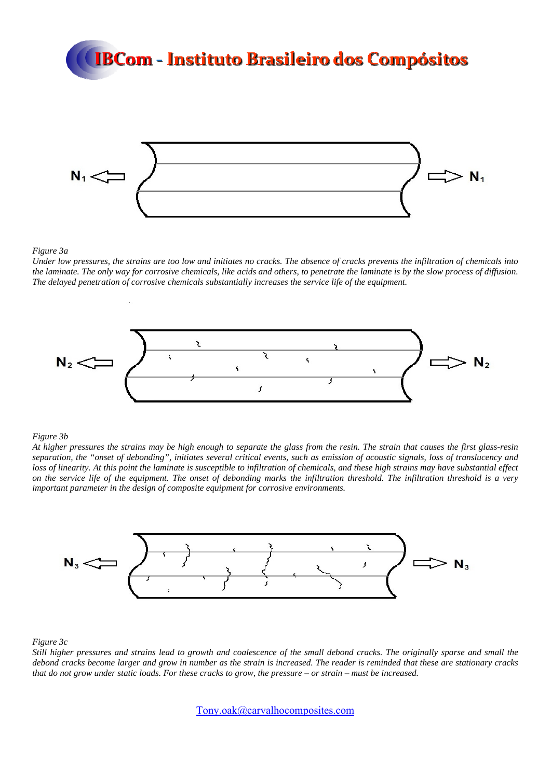

### *Figure 3a*

*Under low pressures, the strains are too low and initiates no cracks. The absence of cracks prevents the infiltration of chemicals into the laminate. The only way for corrosive chemicals, like acids and others, to penetrate the laminate is by the slow process of diffusion. The delayed penetration of corrosive chemicals substantially increases the service life of the equipment.* 



### *Figure 3b*

*At higher pressures the strains may be high enough to separate the glass from the resin. The strain that causes the first glass-resin separation, the "onset of debonding", initiates several critical events, such as emission of acoustic signals, loss of translucency and loss of linearity. At this point the laminate is susceptible to infiltration of chemicals, and these high strains may have substantial effect on the service life of the equipment. The onset of debonding marks the infiltration threshold. The infiltration threshold is a very important parameter in the design of composite equipment for corrosive environments.*



*Figure 3c* 

*Still higher pressures and strains lead to growth and coalescence of the small debond cracks. The originally sparse and small the debond cracks become larger and grow in number as the strain is increased. The reader is reminded that these are stationary cracks that do not grow under static loads. For these cracks to grow, the pressure – or strain – must be increased.*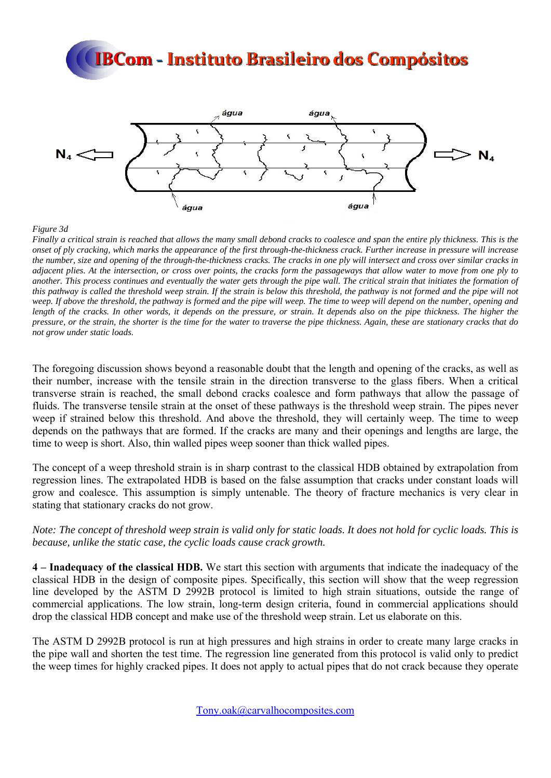

*Figure 3d* 

*Finally a critical strain is reached that allows the many small debond cracks to coalesce and span the entire ply thickness. This is the onset of ply cracking, which marks the appearance of the first through-the-thickness crack. Further increase in pressure will increase the number, size and opening of the through-the-thickness cracks. The cracks in one ply will intersect and cross over similar cracks in adjacent plies. At the intersection, or cross over points, the cracks form the passageways that allow water to move from one ply to another. This process continues and eventually the water gets through the pipe wall. The critical strain that initiates the formation of this pathway is called the threshold weep strain. If the strain is below this threshold, the pathway is not formed and the pipe will not weep. If above the threshold, the pathway is formed and the pipe will weep. The time to weep will depend on the number, opening and length of the cracks. In other words, it depends on the pressure, or strain. It depends also on the pipe thickness. The higher the pressure, or the strain, the shorter is the time for the water to traverse the pipe thickness. Again, these are stationary cracks that do not grow under static loads.* 

The foregoing discussion shows beyond a reasonable doubt that the length and opening of the cracks, as well as their number, increase with the tensile strain in the direction transverse to the glass fibers. When a critical transverse strain is reached, the small debond cracks coalesce and form pathways that allow the passage of fluids. The transverse tensile strain at the onset of these pathways is the threshold weep strain. The pipes never weep if strained below this threshold. And above the threshold, they will certainly weep. The time to weep depends on the pathways that are formed. If the cracks are many and their openings and lengths are large, the time to weep is short. Also, thin walled pipes weep sooner than thick walled pipes.

The concept of a weep threshold strain is in sharp contrast to the classical HDB obtained by extrapolation from regression lines. The extrapolated HDB is based on the false assumption that cracks under constant loads will grow and coalesce. This assumption is simply untenable. The theory of fracture mechanics is very clear in stating that stationary cracks do not grow.

*Note: The concept of threshold weep strain is valid only for static loads. It does not hold for cyclic loads. This is because, unlike the static case, the cyclic loads cause crack growth.* 

**4 – Inadequacy of the classical HDB.** We start this section with arguments that indicate the inadequacy of the classical HDB in the design of composite pipes. Specifically, this section will show that the weep regression line developed by the ASTM D 2992B protocol is limited to high strain situations, outside the range of commercial applications. The low strain, long-term design criteria, found in commercial applications should drop the classical HDB concept and make use of the threshold weep strain. Let us elaborate on this.

The ASTM D 2992B protocol is run at high pressures and high strains in order to create many large cracks in the pipe wall and shorten the test time. The regression line generated from this protocol is valid only to predict the weep times for highly cracked pipes. It does not apply to actual pipes that do not crack because they operate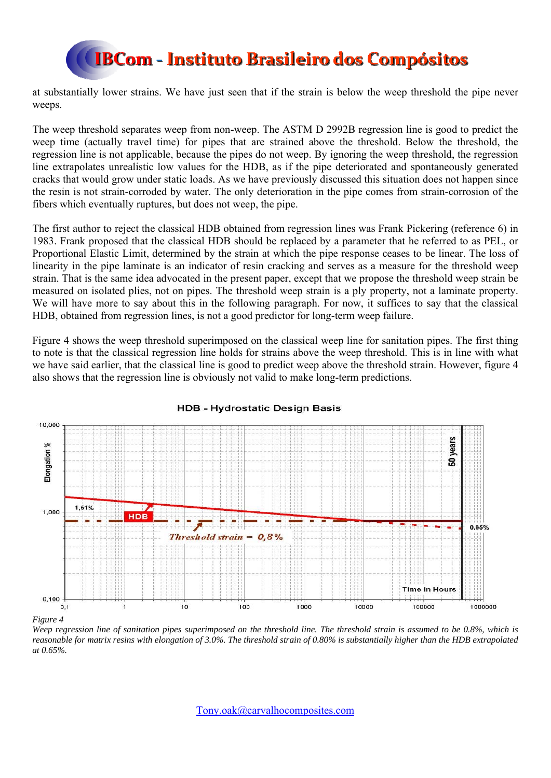

at substantially lower strains. We have just seen that if the strain is below the weep threshold the pipe never weeps.

The weep threshold separates weep from non-weep. The ASTM D 2992B regression line is good to predict the weep time (actually travel time) for pipes that are strained above the threshold. Below the threshold, the regression line is not applicable, because the pipes do not weep. By ignoring the weep threshold, the regression line extrapolates unrealistic low values for the HDB, as if the pipe deteriorated and spontaneously generated cracks that would grow under static loads. As we have previously discussed this situation does not happen since the resin is not strain-corroded by water. The only deterioration in the pipe comes from strain-corrosion of the fibers which eventually ruptures, but does not weep, the pipe.

The first author to reject the classical HDB obtained from regression lines was Frank Pickering (reference 6) in 1983. Frank proposed that the classical HDB should be replaced by a parameter that he referred to as PEL, or Proportional Elastic Limit, determined by the strain at which the pipe response ceases to be linear. The loss of linearity in the pipe laminate is an indicator of resin cracking and serves as a measure for the threshold weep strain. That is the same idea advocated in the present paper, except that we propose the threshold weep strain be measured on isolated plies, not on pipes. The threshold weep strain is a ply property, not a laminate property. We will have more to say about this in the following paragraph. For now, it suffices to say that the classical HDB, obtained from regression lines, is not a good predictor for long-term weep failure.

Figure 4 shows the weep threshold superimposed on the classical weep line for sanitation pipes. The first thing to note is that the classical regression line holds for strains above the weep threshold. This is in line with what we have said earlier, that the classical line is good to predict weep above the threshold strain. However, figure 4 also shows that the regression line is obviously not valid to make long-term predictions.



### **HDB - Hydrostatic Design Basis**

*Figure 4* 

*Weep regression line of sanitation pipes superimposed on the threshold line. The threshold strain is assumed to be 0.8%, which is reasonable for matrix resins with elongation of 3.0%. The threshold strain of 0.80% is substantially higher than the HDB extrapolated at 0.65%.*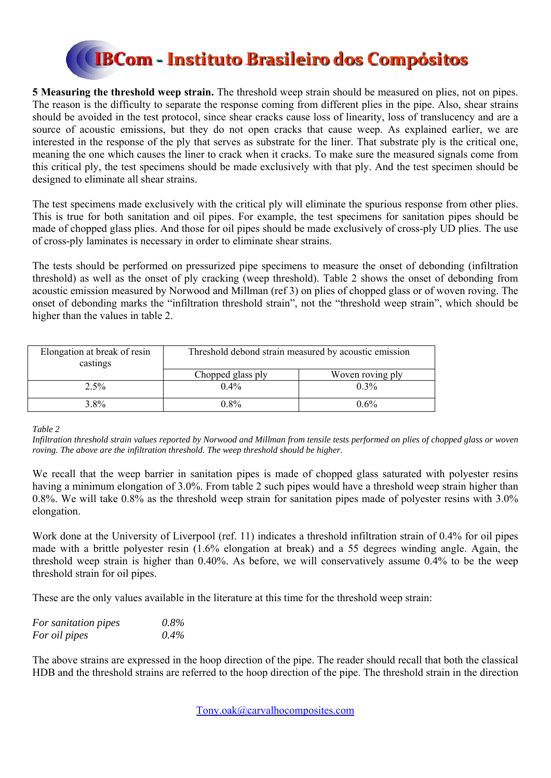

**5 Measuring the threshold weep strain.** The threshold weep strain should be measured on plies, not on pipes. The reason is the difficulty to separate the response coming from different plies in the pipe. Also, shear strains should be avoided in the test protocol, since shear cracks cause loss of linearity, loss of translucency and are a source of acoustic emissions, but they do not open cracks that cause weep. As explained earlier, we are interested in the response of the ply that serves as substrate for the liner. That substrate ply is the critical one, meaning the one which causes the liner to crack when it cracks. To make sure the measured signals come from this critical ply, the test specimens should be made exclusively with that ply. And the test specimen should be designed to eliminate all shear strains.

The test specimens made exclusively with the critical ply will eliminate the spurious response from other plies. This is true for both sanitation and oil pipes. For example, the test specimens for sanitation pipes should be made of chopped glass plies. And those for oil pipes should be made exclusively of cross-ply UD plies. The use of cross-ply laminates is necessary in order to eliminate shear strains.

The tests should be performed on pressurized pipe specimens to measure the onset of debonding (infiltration threshold) as well as the onset of ply cracking (weep threshold). Table 2 shows the onset of debonding from acoustic emission measured by Norwood and Millman (ref 3) on plies of chopped glass or of woven roving. The onset of debonding marks the "infiltration threshold strain", not the "threshold weep strain", which should be higher than the values in table 2.

| Elongation at break of resin<br>castings | Threshold debond strain measured by acoustic emission |                  |
|------------------------------------------|-------------------------------------------------------|------------------|
|                                          | Chopped glass ply                                     | Woven roving ply |
| 2.5%                                     | $0.4\%$                                               | $0.3\%$          |
| $3.8\%$                                  | $0.8\%$                                               | $0.6\%$          |

*Table 2* 

*Infiltration threshold strain values reported by Norwood and Millman from tensile tests performed on plies of chopped glass or woven roving. The above are the infiltration threshold. The weep threshold should be higher.* 

We recall that the weep barrier in sanitation pipes is made of chopped glass saturated with polyester resins having a minimum elongation of 3.0%. From table 2 such pipes would have a threshold weep strain higher than 0.8%. We will take 0.8% as the threshold weep strain for sanitation pipes made of polyester resins with 3.0% elongation.

Work done at the University of Liverpool (ref. 11) indicates a threshold infiltration strain of 0.4% for oil pipes made with a brittle polyester resin (1.6% elongation at break) and a 55 degrees winding angle. Again, the threshold weep strain is higher than 0.40%. As before, we will conservatively assume 0.4% to be the weep threshold strain for oil pipes.

These are the only values available in the literature at this time for the threshold weep strain:

| For sanitation pipes | $0.8\%$ |
|----------------------|---------|
| For oil pipes        | $0.4\%$ |

The above strains are expressed in the hoop direction of the pipe. The reader should recall that both the classical HDB and the threshold strains are referred to the hoop direction of the pipe. The threshold strain in the direction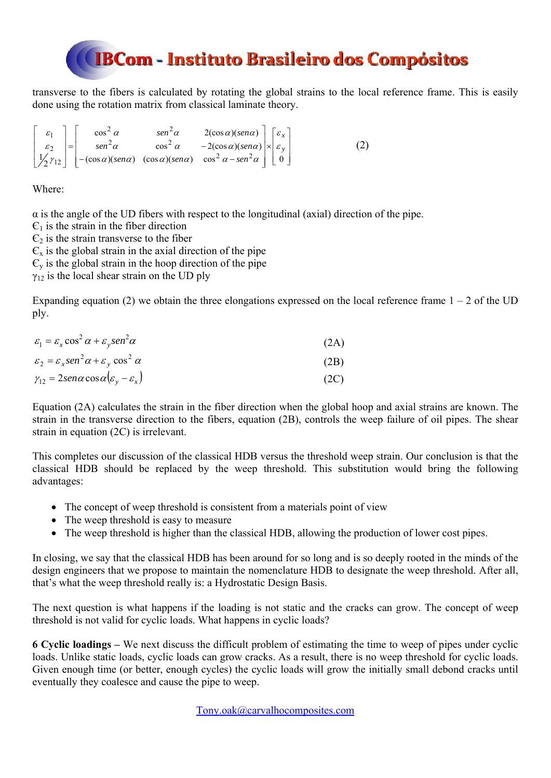transverse to the fibers is calculated by rotating the global strains to the local reference frame. This is easily done using the rotation matrix from classical laminate theory.

$$
\begin{bmatrix} \varepsilon_1 \\ \varepsilon_2 \\ \frac{1}{2}\gamma_{12} \end{bmatrix} = \begin{bmatrix} \cos^2 \alpha & \sin^2 \alpha & 2(\cos \alpha)(\sin \alpha) \\ \sin^2 \alpha & \cos^2 \alpha & -2(\cos \alpha)(\sin \alpha) \\ -(\cos \alpha)(\sin \alpha) & \cos^2 \alpha - \sin^2 \alpha \end{bmatrix} \times \begin{bmatrix} \varepsilon_x \\ \varepsilon_y \\ 0 \end{bmatrix} \tag{2}
$$

Where:

 $\alpha$  is the angle of the UD fibers with respect to the longitudinal (axial) direction of the pipe.

 $\mathcal{C}_1$  is the strain in the fiber direction

 $\epsilon_2$  is the strain transverse to the fiber

 $\epsilon_{\rm v}$  is the global strain in the axial direction of the pipe

 $\epsilon_{v}$  is the global strain in the hoop direction of the pipe

 $\gamma_{12}$  is the local shear strain on the UD ply

Expanding equation (2) we obtain the three elongations expressed on the local reference frame  $1 - 2$  of the UD ply.

| $\varepsilon_1 = \varepsilon_x \cos^2 \alpha + \varepsilon_v \sin^2 \alpha$ | (2A) |
|-----------------------------------------------------------------------------|------|
| $\varepsilon_2 = \varepsilon_x \sin^2 \alpha + \varepsilon_y \cos^2 \alpha$ | (2B) |
| $\gamma_{12} = 2sen\alpha cos\alpha(\varepsilon_v - \varepsilon_x)$         | (2C) |

Equation (2A) calculates the strain in the fiber direction when the global hoop and axial strains are known. The strain in the transverse direction to the fibers, equation (2B), controls the weep failure of oil pipes. The shear strain in equation (2C) is irrelevant.

This completes our discussion of the classical HDB versus the threshold weep strain. Our conclusion is that the classical HDB should be replaced by the weep threshold. This substitution would bring the following advantages:

- The concept of weep threshold is consistent from a materials point of view
- The weep threshold is easy to measure
- The weep threshold is higher than the classical HDB, allowing the production of lower cost pipes.

In closing, we say that the classical HDB has been around for so long and is so deeply rooted in the minds of the design engineers that we propose to maintain the nomenclature HDB to designate the weep threshold. After all, that's what the weep threshold really is: a Hydrostatic Design Basis.

The next question is what happens if the loading is not static and the cracks can grow. The concept of weep threshold is not valid for cyclic loads. What happens in cyclic loads?

**6 Cyclic loadings –** We next discuss the difficult problem of estimating the time to weep of pipes under cyclic loads. Unlike static loads, cyclic loads can grow cracks. As a result, there is no weep threshold for cyclic loads. Given enough time (or better, enough cycles) the cyclic loads will grow the initially small debond cracks until eventually they coalesce and cause the pipe to weep.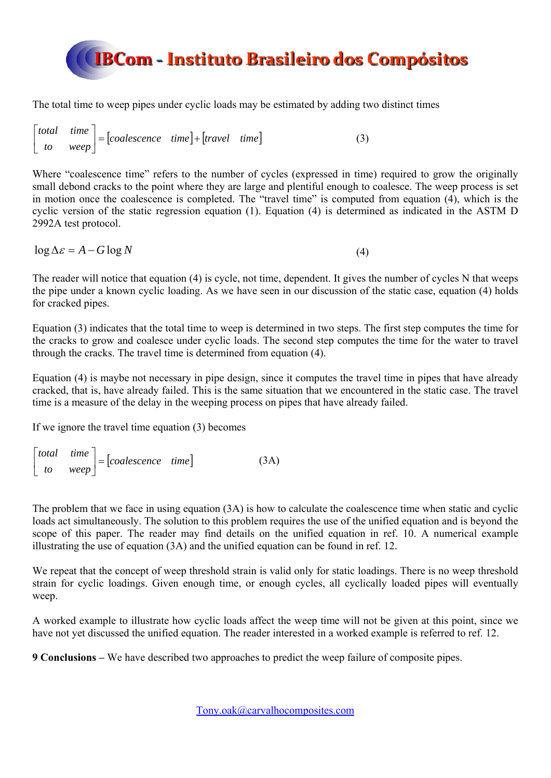

The total time to weep pipes under cyclic loads may be estimated by adding two distinct times

 *coalescence time travel time*  $\begin{bmatrix} total & time \\ to & weep \end{bmatrix} = [coalescence & time] +$  $\overline{\phantom{a}}$  $\begin{vmatrix} total & time \\ to & mean \end{vmatrix}$  = [coalescence time]+ [travel time] (3) L

Where "coalescence time" refers to the number of cycles (expressed in time) required to grow the originally small debond cracks to the point where they are large and plentiful enough to coalesce. The weep process is set in motion once the coalescence is completed. The "travel time" is computed from equation (4), which is the cyclic version of the static regression equation (1). Equation (4) is determined as indicated in the ASTM D 2992A test protocol.

 $\log \Delta \varepsilon = A - G \log N$  (4)

The reader will notice that equation (4) is cycle, not time, dependent. It gives the number of cycles N that weeps the pipe under a known cyclic loading. As we have seen in our discussion of the static case, equation (4) holds for cracked pipes.

Equation (3) indicates that the total time to weep is determined in two steps. The first step computes the time for the cracks to grow and coalesce under cyclic loads. The second step computes the time for the water to travel through the cracks. The travel time is determined from equation (4).

Equation (4) is maybe not necessary in pipe design, since it computes the travel time in pipes that have already cracked, that is, have already failed. This is the same situation that we encountered in the static case. The travel time is a measure of the delay in the weeping process on pipes that have already failed.

If we ignore the travel time equation (3) becomes

$$
\begin{bmatrix} total & time \\ to & weep \end{bmatrix} = [coalescence & time] \tag{3A}
$$

The problem that we face in using equation (3A) is how to calculate the coalescence time when static and cyclic loads act simultaneously. The solution to this problem requires the use of the unified equation and is beyond the scope of this paper. The reader may find details on the unified equation in ref. 10. A numerical example illustrating the use of equation (3A) and the unified equation can be found in ref. 12.

We repeat that the concept of weep threshold strain is valid only for static loadings. There is no weep threshold strain for cyclic loadings. Given enough time, or enough cycles, all cyclically loaded pipes will eventually weep.

A worked example to illustrate how cyclic loads affect the weep time will not be given at this point, since we have not yet discussed the unified equation. The reader interested in a worked example is referred to ref. 12.

**9 Conclusions –** We have described two approaches to predict the weep failure of composite pipes.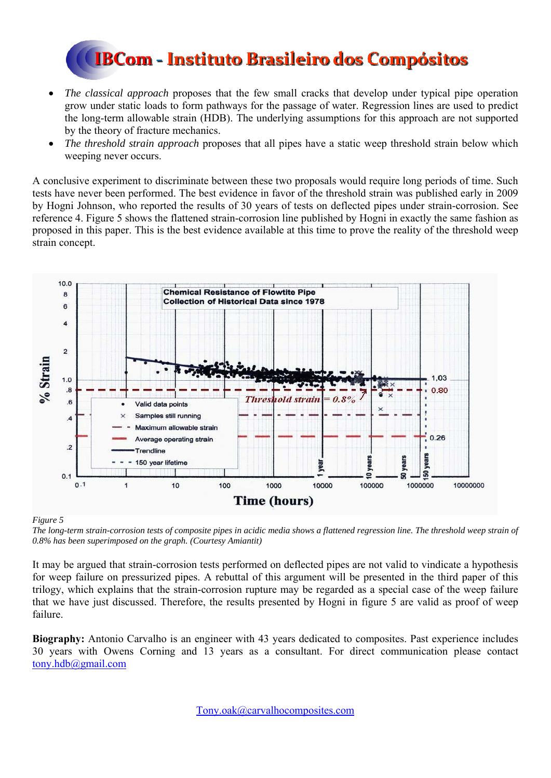

- *The classical approach* proposes that the few small cracks that develop under typical pipe operation grow under static loads to form pathways for the passage of water. Regression lines are used to predict the long-term allowable strain (HDB). The underlying assumptions for this approach are not supported by the theory of fracture mechanics.
- *The threshold strain approach* proposes that all pipes have a static weep threshold strain below which weeping never occurs.

A conclusive experiment to discriminate between these two proposals would require long periods of time. Such tests have never been performed. The best evidence in favor of the threshold strain was published early in 2009 by Hogni Johnson, who reported the results of 30 years of tests on deflected pipes under strain-corrosion. See reference 4. Figure 5 shows the flattened strain-corrosion line published by Hogni in exactly the same fashion as proposed in this paper. This is the best evidence available at this time to prove the reality of the threshold weep strain concept.



### *Figure 5*

*The long-term strain-corrosion tests of composite pipes in acidic media shows a flattened regression line. The threshold weep strain of 0.8% has been superimposed on the graph. (Courtesy Amiantit)* 

It may be argued that strain-corrosion tests performed on deflected pipes are not valid to vindicate a hypothesis for weep failure on pressurized pipes. A rebuttal of this argument will be presented in the third paper of this trilogy, which explains that the strain-corrosion rupture may be regarded as a special case of the weep failure that we have just discussed. Therefore, the results presented by Hogni in figure 5 are valid as proof of weep failure.

**Biography:** Antonio Carvalho is an engineer with 43 years dedicated to composites. Past experience includes 30 years with Owens Corning and 13 years as a consultant. For direct communication please contact tony.hdb@gmail.com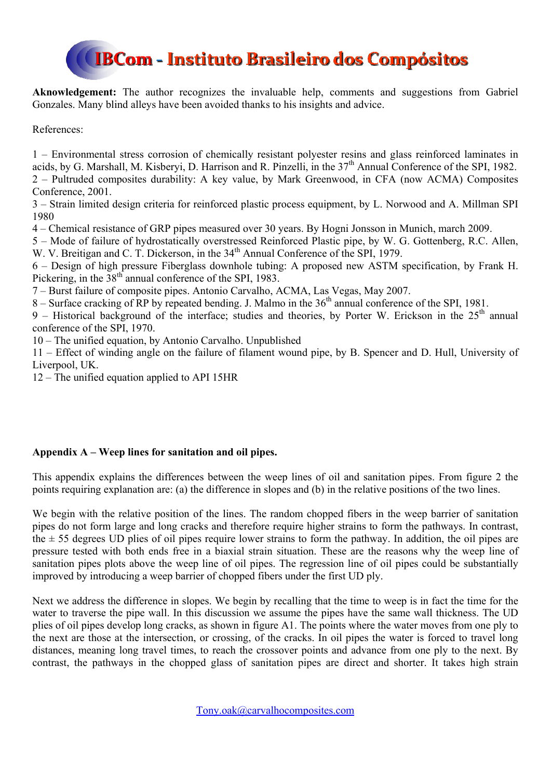

**Aknowledgement:** The author recognizes the invaluable help, comments and suggestions from Gabriel Gonzales. Many blind alleys have been avoided thanks to his insights and advice.

References:

1 – Environmental stress corrosion of chemically resistant polyester resins and glass reinforced laminates in acids, by G. Marshall, M. Kisberyi, D. Harrison and R. Pinzelli, in the  $37<sup>th</sup>$  Annual Conference of the SPI, 1982. 2 – Pultruded composites durability: A key value, by Mark Greenwood, in CFA (now ACMA) Composites Conference, 2001.

3 – Strain limited design criteria for reinforced plastic process equipment, by L. Norwood and A. Millman SPI 1980

4 – Chemical resistance of GRP pipes measured over 30 years. By Hogni Jonsson in Munich, march 2009.

5 – Mode of failure of hydrostatically overstressed Reinforced Plastic pipe, by W. G. Gottenberg, R.C. Allen, W. V. Breitigan and C. T. Dickerson, in the  $34<sup>th</sup>$  Annual Conference of the SPI, 1979.

6 – Design of high pressure Fiberglass downhole tubing: A proposed new ASTM specification, by Frank H. Pickering, in the 38<sup>th</sup> annual conference of the SPI, 1983.

7 – Burst failure of composite pipes. Antonio Carvalho, ACMA, Las Vegas, May 2007.

8 – Surface cracking of  $RP$  by repeated bending. J. Malmo in the  $36<sup>th</sup>$  annual conference of the SPI, 1981.

9 – Historical background of the interface; studies and theories, by Porter W. Erickson in the  $25<sup>th</sup>$  annual conference of the SPI, 1970.

10 – The unified equation, by Antonio Carvalho. Unpublished

11 – Effect of winding angle on the failure of filament wound pipe, by B. Spencer and D. Hull, University of Liverpool, UK.

12 – The unified equation applied to API 15HR

### **Appendix A – Weep lines for sanitation and oil pipes.**

This appendix explains the differences between the weep lines of oil and sanitation pipes. From figure 2 the points requiring explanation are: (a) the difference in slopes and (b) in the relative positions of the two lines.

We begin with the relative position of the lines. The random chopped fibers in the weep barrier of sanitation pipes do not form large and long cracks and therefore require higher strains to form the pathways. In contrast, the  $\pm$  55 degrees UD plies of oil pipes require lower strains to form the pathway. In addition, the oil pipes are pressure tested with both ends free in a biaxial strain situation. These are the reasons why the weep line of sanitation pipes plots above the weep line of oil pipes. The regression line of oil pipes could be substantially improved by introducing a weep barrier of chopped fibers under the first UD ply.

Next we address the difference in slopes. We begin by recalling that the time to weep is in fact the time for the water to traverse the pipe wall. In this discussion we assume the pipes have the same wall thickness. The UD plies of oil pipes develop long cracks, as shown in figure A1. The points where the water moves from one ply to the next are those at the intersection, or crossing, of the cracks. In oil pipes the water is forced to travel long distances, meaning long travel times, to reach the crossover points and advance from one ply to the next. By contrast, the pathways in the chopped glass of sanitation pipes are direct and shorter. It takes high strain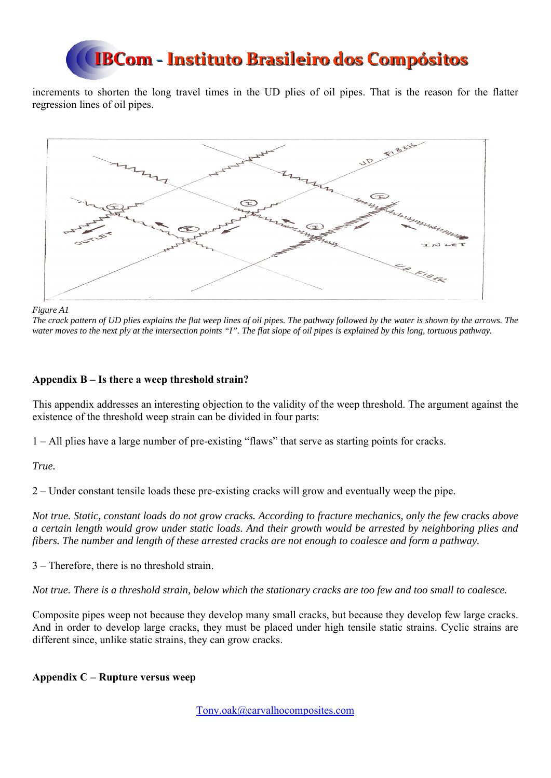increments to shorten the long travel times in the UD plies of oil pipes. That is the reason for the flatter regression lines of oil pipes.



*Figure A1* 

*The crack pattern of UD plies explains the flat weep lines of oil pipes. The pathway followed by the water is shown by the arrows. The water moves to the next ply at the intersection points "I". The flat slope of oil pipes is explained by this long, tortuous pathway.* 

### **Appendix B – Is there a weep threshold strain?**

This appendix addresses an interesting objection to the validity of the weep threshold. The argument against the existence of the threshold weep strain can be divided in four parts:

1 – All plies have a large number of pre-existing "flaws" that serve as starting points for cracks.

*True.* 

2 – Under constant tensile loads these pre-existing cracks will grow and eventually weep the pipe.

*Not true. Static, constant loads do not grow cracks. According to fracture mechanics, only the few cracks above a certain length would grow under static loads. And their growth would be arrested by neighboring plies and fibers. The number and length of these arrested cracks are not enough to coalesce and form a pathway.* 

3 – Therefore, there is no threshold strain.

*Not true. There is a threshold strain, below which the stationary cracks are too few and too small to coalesce.* 

Composite pipes weep not because they develop many small cracks, but because they develop few large cracks. And in order to develop large cracks, they must be placed under high tensile static strains. Cyclic strains are different since, unlike static strains, they can grow cracks.

### **Appendix C – Rupture versus weep**